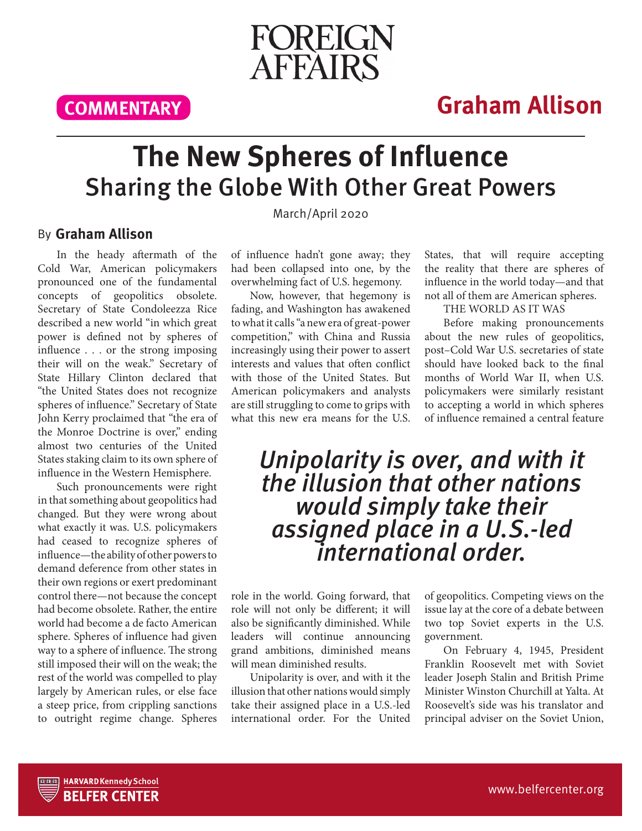FOREIGN **AFFAIRS** 

**COMMENTARY**

### **Graham Allison**

## **The New Spheres of Influence** Sharing the Globe With Other Great Powers

March/April 2020

### By **Graham Allison**

In the heady aftermath of the Cold War, American policymakers pronounced one of the fundamental concepts of geopolitics obsolete. Secretary of State Condoleezza Rice described a new world "in which great power is defined not by spheres of influence . . . or the strong imposing their will on the weak." Secretary of State Hillary Clinton declared that "the United States does not recognize spheres of influence." Secretary of State John Kerry proclaimed that "the era of the Monroe Doctrine is over," ending almost two centuries of the United States staking claim to its own sphere of influence in the Western Hemisphere.

Such pronouncements were right in that something about geopolitics had changed. But they were wrong about what exactly it was. U.S. policymakers had ceased to recognize spheres of influence—the ability of other powers to demand deference from other states in their own regions or exert predominant control there—not because the concept had become obsolete. Rather, the entire world had become a de facto American sphere. Spheres of influence had given way to a sphere of influence. The strong still imposed their will on the weak; the rest of the world was compelled to play largely by American rules, or else face a steep price, from crippling sanctions to outright regime change. Spheres of influence hadn't gone away; they had been collapsed into one, by the overwhelming fact of U.S. hegemony.

Now, however, that hegemony is fading, and Washington has awakened to what it calls "a new era of great-power competition," with China and Russia increasingly using their power to assert interests and values that often conflict with those of the United States. But American policymakers and analysts are still struggling to come to grips with what this new era means for the U.S.

States, that will require accepting the reality that there are spheres of influence in the world today—and that not all of them are American spheres.

THE WORLD AS IT WAS

Before making pronouncements about the new rules of geopolitics, post–Cold War U.S. secretaries of state should have looked back to the final months of World War II, when U.S. policymakers were similarly resistant to accepting a world in which spheres of influence remained a central feature

# Unipolarity is over, and with it the illusion that other nations<br>would simply take their assigned place in a U.S.-led<br>international order.

role in the world. Going forward, that role will not only be different; it will also be significantly diminished. While leaders will continue announcing grand ambitions, diminished means will mean diminished results.

Unipolarity is over, and with it the illusion that other nations would simply take their assigned place in a U.S.-led international order. For the United

of geopolitics. Competing views on the issue lay at the core of a debate between two top Soviet experts in the U.S. government.

On February 4, 1945, President Franklin Roosevelt met with Soviet leader Joseph Stalin and British Prime Minister Winston Churchill at Yalta. At Roosevelt's side was his translator and principal adviser on the Soviet Union,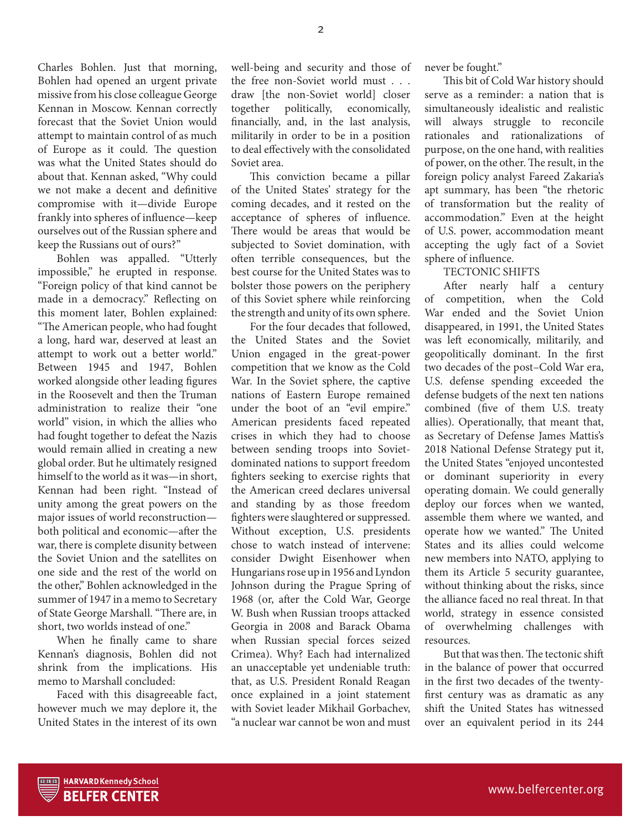Charles Bohlen. Just that morning, Bohlen had opened an urgent private missive from his close colleague George Kennan in Moscow. Kennan correctly forecast that the Soviet Union would attempt to maintain control of as much of Europe as it could. The question was what the United States should do about that. Kennan asked, "Why could we not make a decent and definitive compromise with it—divide Europe frankly into spheres of influence—keep ourselves out of the Russian sphere and keep the Russians out of ours?"

Bohlen was appalled. "Utterly impossible," he erupted in response. "Foreign policy of that kind cannot be made in a democracy." Reflecting on this moment later, Bohlen explained: "The American people, who had fought a long, hard war, deserved at least an attempt to work out a better world." Between 1945 and 1947, Bohlen worked alongside other leading figures in the Roosevelt and then the Truman administration to realize their "one world" vision, in which the allies who had fought together to defeat the Nazis would remain allied in creating a new global order. But he ultimately resigned himself to the world as it was—in short, Kennan had been right. "Instead of unity among the great powers on the major issues of world reconstruction both political and economic—after the war, there is complete disunity between the Soviet Union and the satellites on one side and the rest of the world on the other," Bohlen acknowledged in the summer of 1947 in a memo to Secretary of State George Marshall. "There are, in short, two worlds instead of one."

When he finally came to share Kennan's diagnosis, Bohlen did not shrink from the implications. His memo to Marshall concluded:

Faced with this disagreeable fact, however much we may deplore it, the United States in the interest of its own

well-being and security and those of the free non-Soviet world must . . . draw [the non-Soviet world] closer together politically, economically, financially, and, in the last analysis, militarily in order to be in a position to deal effectively with the consolidated Soviet area.

This conviction became a pillar of the United States' strategy for the coming decades, and it rested on the acceptance of spheres of influence. There would be areas that would be subjected to Soviet domination, with often terrible consequences, but the best course for the United States was to bolster those powers on the periphery of this Soviet sphere while reinforcing the strength and unity of its own sphere.

For the four decades that followed, the United States and the Soviet Union engaged in the great-power competition that we know as the Cold War. In the Soviet sphere, the captive nations of Eastern Europe remained under the boot of an "evil empire." American presidents faced repeated crises in which they had to choose between sending troops into Sovietdominated nations to support freedom fighters seeking to exercise rights that the American creed declares universal and standing by as those freedom fighters were slaughtered or suppressed. Without exception, U.S. presidents chose to watch instead of intervene: consider Dwight Eisenhower when Hungarians rose up in 1956 and Lyndon Johnson during the Prague Spring of 1968 (or, after the Cold War, George W. Bush when Russian troops attacked Georgia in 2008 and Barack Obama when Russian special forces seized Crimea). Why? Each had internalized an unacceptable yet undeniable truth: that, as U.S. President Ronald Reagan once explained in a joint statement with Soviet leader Mikhail Gorbachev, "a nuclear war cannot be won and must

never be fought."

This bit of Cold War history should serve as a reminder: a nation that is simultaneously idealistic and realistic will always struggle to reconcile rationales and rationalizations of purpose, on the one hand, with realities of power, on the other. The result, in the foreign policy analyst Fareed Zakaria's apt summary, has been "the rhetoric of transformation but the reality of accommodation." Even at the height of U.S. power, accommodation meant accepting the ugly fact of a Soviet sphere of influence.

TECTONIC SHIFTS

After nearly half a century of competition, when the Cold War ended and the Soviet Union disappeared, in 1991, the United States was left economically, militarily, and geopolitically dominant. In the first two decades of the post–Cold War era, U.S. defense spending exceeded the defense budgets of the next ten nations combined (five of them U.S. treaty allies). Operationally, that meant that, as Secretary of Defense James Mattis's 2018 National Defense Strategy put it, the United States "enjoyed uncontested or dominant superiority in every operating domain. We could generally deploy our forces when we wanted, assemble them where we wanted, and operate how we wanted." The United States and its allies could welcome new members into NATO, applying to them its Article 5 security guarantee, without thinking about the risks, since the alliance faced no real threat. In that world, strategy in essence consisted of overwhelming challenges with resources.

But that was then. The tectonic shift in the balance of power that occurred in the first two decades of the twentyfirst century was as dramatic as any shift the United States has witnessed over an equivalent period in its 244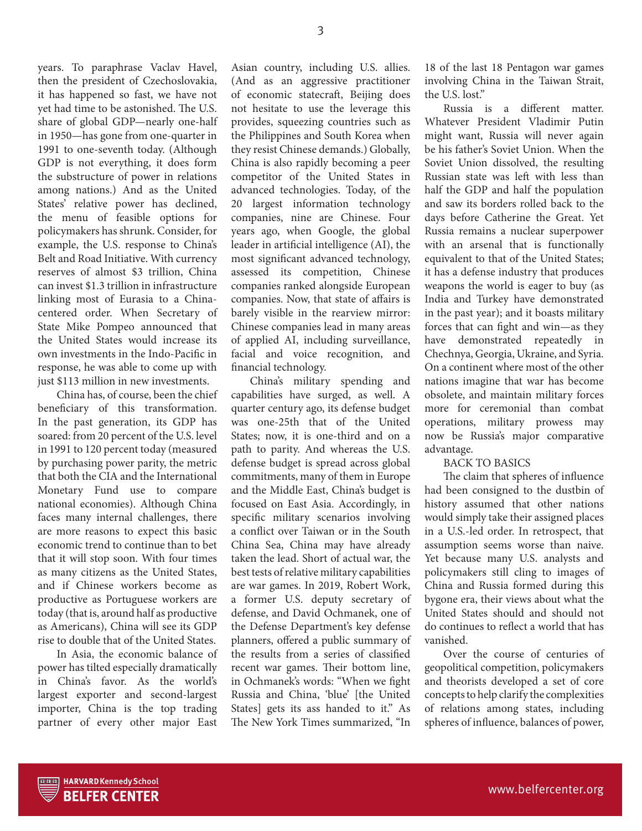years. To paraphrase Vaclav Havel, then the president of Czechoslovakia, it has happened so fast, we have not yet had time to be astonished. The U.S. share of global GDP—nearly one-half in 1950—has gone from one-quarter in 1991 to one-seventh today. (Although GDP is not everything, it does form the substructure of power in relations among nations.) And as the United States' relative power has declined, the menu of feasible options for policymakers has shrunk. Consider, for example, the U.S. response to China's Belt and Road Initiative. With currency reserves of almost \$3 trillion, China can invest \$1.3 trillion in infrastructure linking most of Eurasia to a Chinacentered order. When Secretary of State Mike Pompeo announced that the United States would increase its own investments in the Indo-Pacific in response, he was able to come up with just \$113 million in new investments.

China has, of course, been the chief beneficiary of this transformation. In the past generation, its GDP has soared: from 20 percent of the U.S. level in 1991 to 120 percent today (measured by purchasing power parity, the metric that both the CIA and the International Monetary Fund use to compare national economies). Although China faces many internal challenges, there are more reasons to expect this basic economic trend to continue than to bet that it will stop soon. With four times as many citizens as the United States, and if Chinese workers become as productive as Portuguese workers are today (that is, around half as productive as Americans), China will see its GDP rise to double that of the United States.

In Asia, the economic balance of power has tilted especially dramatically in China's favor. As the world's largest exporter and second-largest importer, China is the top trading partner of every other major East Asian country, including U.S. allies. (And as an aggressive practitioner of economic statecraft, Beijing does not hesitate to use the leverage this provides, squeezing countries such as the Philippines and South Korea when they resist Chinese demands.) Globally, China is also rapidly becoming a peer competitor of the United States in advanced technologies. Today, of the 20 largest information technology companies, nine are Chinese. Four years ago, when Google, the global leader in artificial intelligence (AI), the most significant advanced technology, assessed its competition, Chinese companies ranked alongside European companies. Now, that state of affairs is barely visible in the rearview mirror: Chinese companies lead in many areas of applied AI, including surveillance, facial and voice recognition, and financial technology.

China's military spending and capabilities have surged, as well. A quarter century ago, its defense budget was one-25th that of the United States; now, it is one-third and on a path to parity. And whereas the U.S. defense budget is spread across global commitments, many of them in Europe and the Middle East, China's budget is focused on East Asia. Accordingly, in specific military scenarios involving a conflict over Taiwan or in the South China Sea, China may have already taken the lead. Short of actual war, the best tests of relative military capabilities are war games. In 2019, Robert Work, a former U.S. deputy secretary of defense, and David Ochmanek, one of the Defense Department's key defense planners, offered a public summary of the results from a series of classified recent war games. Their bottom line, in Ochmanek's words: "When we fight Russia and China, 'blue' [the United States] gets its ass handed to it." As The New York Times summarized, "In

18 of the last 18 Pentagon war games involving China in the Taiwan Strait, the U.S. lost."

Russia is a different matter. Whatever President Vladimir Putin might want, Russia will never again be his father's Soviet Union. When the Soviet Union dissolved, the resulting Russian state was left with less than half the GDP and half the population and saw its borders rolled back to the days before Catherine the Great. Yet Russia remains a nuclear superpower with an arsenal that is functionally equivalent to that of the United States; it has a defense industry that produces weapons the world is eager to buy (as India and Turkey have demonstrated in the past year); and it boasts military forces that can fight and win—as they have demonstrated repeatedly in Chechnya, Georgia, Ukraine, and Syria. On a continent where most of the other nations imagine that war has become obsolete, and maintain military forces more for ceremonial than combat operations, military prowess may now be Russia's major comparative advantage.

#### BACK TO BASICS

The claim that spheres of influence had been consigned to the dustbin of history assumed that other nations would simply take their assigned places in a U.S.-led order. In retrospect, that assumption seems worse than naive. Yet because many U.S. analysts and policymakers still cling to images of China and Russia formed during this bygone era, their views about what the United States should and should not do continues to reflect a world that has vanished.

Over the course of centuries of geopolitical competition, policymakers and theorists developed a set of core concepts to help clarify the complexities of relations among states, including spheres of influence, balances of power,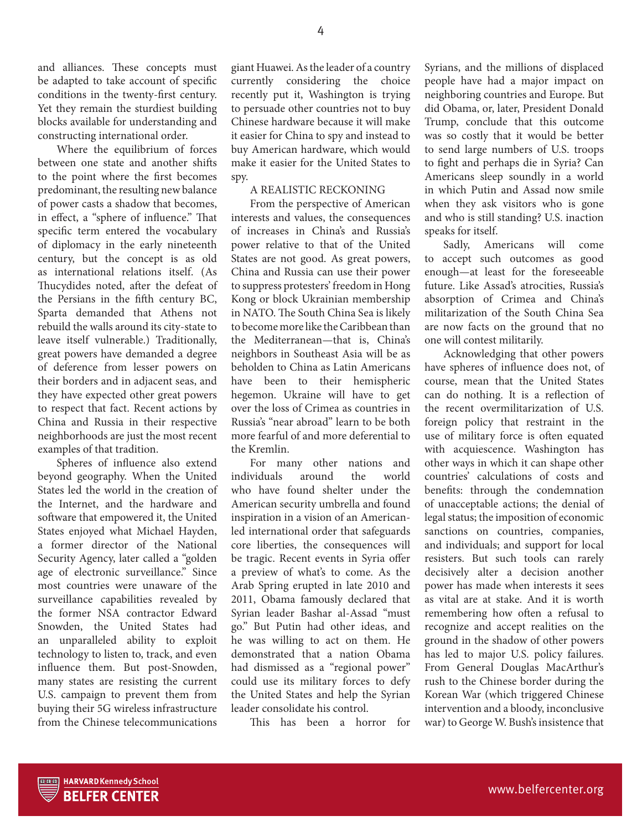and alliances. These concepts must be adapted to take account of specific conditions in the twenty-first century. Yet they remain the sturdiest building blocks available for understanding and constructing international order.

Where the equilibrium of forces between one state and another shifts to the point where the first becomes predominant, the resulting new balance of power casts a shadow that becomes, in effect, a "sphere of influence." That specific term entered the vocabulary of diplomacy in the early nineteenth century, but the concept is as old as international relations itself. (As Thucydides noted, after the defeat of the Persians in the fifth century BC, Sparta demanded that Athens not rebuild the walls around its city-state to leave itself vulnerable.) Traditionally, great powers have demanded a degree of deference from lesser powers on their borders and in adjacent seas, and they have expected other great powers to respect that fact. Recent actions by China and Russia in their respective neighborhoods are just the most recent examples of that tradition.

Spheres of influence also extend beyond geography. When the United States led the world in the creation of the Internet, and the hardware and software that empowered it, the United States enjoyed what Michael Hayden, a former director of the National Security Agency, later called a "golden age of electronic surveillance." Since most countries were unaware of the surveillance capabilities revealed by the former NSA contractor Edward Snowden, the United States had an unparalleled ability to exploit technology to listen to, track, and even influence them. But post-Snowden, many states are resisting the current U.S. campaign to prevent them from buying their 5G wireless infrastructure from the Chinese telecommunications

giant Huawei. As the leader of a country currently considering the choice recently put it, Washington is trying to persuade other countries not to buy Chinese hardware because it will make it easier for China to spy and instead to buy American hardware, which would make it easier for the United States to spy.

### A REALISTIC RECKONING

From the perspective of American interests and values, the consequences of increases in China's and Russia's power relative to that of the United States are not good. As great powers, China and Russia can use their power to suppress protesters' freedom in Hong Kong or block Ukrainian membership in NATO. The South China Sea is likely to become more like the Caribbean than the Mediterranean—that is, China's neighbors in Southeast Asia will be as beholden to China as Latin Americans have been to their hemispheric hegemon. Ukraine will have to get over the loss of Crimea as countries in Russia's "near abroad" learn to be both more fearful of and more deferential to the Kremlin.

For many other nations and individuals around the world who have found shelter under the American security umbrella and found inspiration in a vision of an Americanled international order that safeguards core liberties, the consequences will be tragic. Recent events in Syria offer a preview of what's to come. As the Arab Spring erupted in late 2010 and 2011, Obama famously declared that Syrian leader Bashar al-Assad "must go." But Putin had other ideas, and he was willing to act on them. He demonstrated that a nation Obama had dismissed as a "regional power" could use its military forces to defy the United States and help the Syrian leader consolidate his control.

This has been a horror for

Syrians, and the millions of displaced people have had a major impact on neighboring countries and Europe. But did Obama, or, later, President Donald Trump, conclude that this outcome was so costly that it would be better to send large numbers of U.S. troops to fight and perhaps die in Syria? Can Americans sleep soundly in a world in which Putin and Assad now smile when they ask visitors who is gone and who is still standing? U.S. inaction speaks for itself.

Sadly, Americans will come to accept such outcomes as good enough—at least for the foreseeable future. Like Assad's atrocities, Russia's absorption of Crimea and China's militarization of the South China Sea are now facts on the ground that no one will contest militarily.

Acknowledging that other powers have spheres of influence does not, of course, mean that the United States can do nothing. It is a reflection of the recent overmilitarization of U.S. foreign policy that restraint in the use of military force is often equated with acquiescence. Washington has other ways in which it can shape other countries' calculations of costs and benefits: through the condemnation of unacceptable actions; the denial of legal status; the imposition of economic sanctions on countries, companies, and individuals; and support for local resisters. But such tools can rarely decisively alter a decision another power has made when interests it sees as vital are at stake. And it is worth remembering how often a refusal to recognize and accept realities on the ground in the shadow of other powers has led to major U.S. policy failures. From General Douglas MacArthur's rush to the Chinese border during the Korean War (which triggered Chinese intervention and a bloody, inconclusive war) to George W. Bush's insistence that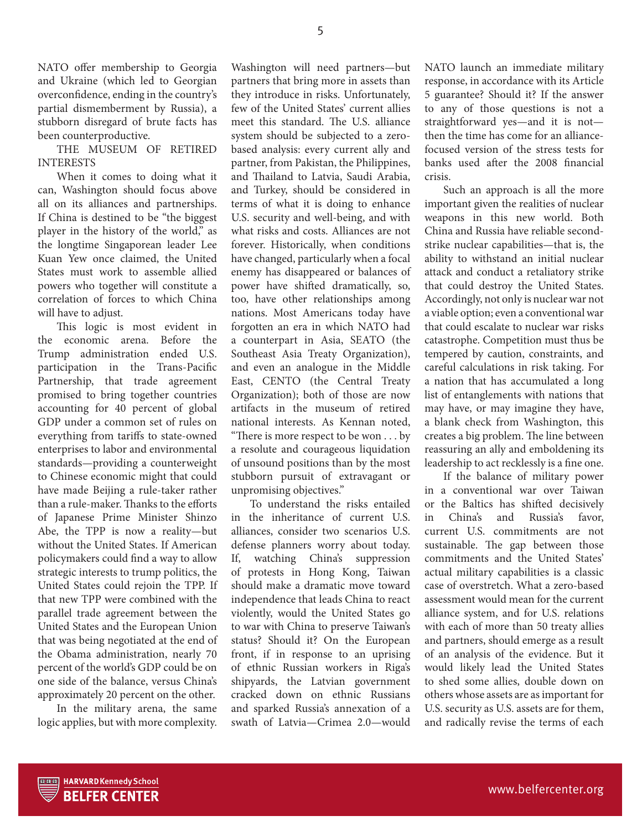NATO offer membership to Georgia and Ukraine (which led to Georgian overconfidence, ending in the country's partial dismemberment by Russia), a stubborn disregard of brute facts has been counterproductive.

THE MUSEUM OF RETIRED INTERESTS

When it comes to doing what it can, Washington should focus above all on its alliances and partnerships. If China is destined to be "the biggest player in the history of the world," as the longtime Singaporean leader Lee Kuan Yew once claimed, the United States must work to assemble allied powers who together will constitute a correlation of forces to which China will have to adjust.

This logic is most evident in the economic arena. Before the Trump administration ended U.S. participation in the Trans-Pacific Partnership, that trade agreement promised to bring together countries accounting for 40 percent of global GDP under a common set of rules on everything from tariffs to state-owned enterprises to labor and environmental standards—providing a counterweight to Chinese economic might that could have made Beijing a rule-taker rather than a rule-maker. Thanks to the efforts of Japanese Prime Minister Shinzo Abe, the TPP is now a reality—but without the United States. If American policymakers could find a way to allow strategic interests to trump politics, the United States could rejoin the TPP. If that new TPP were combined with the parallel trade agreement between the United States and the European Union that was being negotiated at the end of the Obama administration, nearly 70 percent of the world's GDP could be on one side of the balance, versus China's approximately 20 percent on the other.

In the military arena, the same logic applies, but with more complexity.

Washington will need partners—but partners that bring more in assets than they introduce in risks. Unfortunately, few of the United States' current allies meet this standard. The U.S. alliance system should be subjected to a zerobased analysis: every current ally and partner, from Pakistan, the Philippines, and Thailand to Latvia, Saudi Arabia, and Turkey, should be considered in terms of what it is doing to enhance U.S. security and well-being, and with what risks and costs. Alliances are not forever. Historically, when conditions have changed, particularly when a focal enemy has disappeared or balances of power have shifted dramatically, so, too, have other relationships among nations. Most Americans today have forgotten an era in which NATO had a counterpart in Asia, SEATO (the Southeast Asia Treaty Organization), and even an analogue in the Middle East, CENTO (the Central Treaty Organization); both of those are now artifacts in the museum of retired national interests. As Kennan noted, "There is more respect to be won . . . by a resolute and courageous liquidation of unsound positions than by the most stubborn pursuit of extravagant or unpromising objectives."

To understand the risks entailed in the inheritance of current U.S. alliances, consider two scenarios U.S. defense planners worry about today. If, watching China's suppression of protests in Hong Kong, Taiwan should make a dramatic move toward independence that leads China to react violently, would the United States go to war with China to preserve Taiwan's status? Should it? On the European front, if in response to an uprising of ethnic Russian workers in Riga's shipyards, the Latvian government cracked down on ethnic Russians and sparked Russia's annexation of a swath of Latvia—Crimea 2.0—would

NATO launch an immediate military response, in accordance with its Article 5 guarantee? Should it? If the answer to any of those questions is not a straightforward yes—and it is not then the time has come for an alliancefocused version of the stress tests for banks used after the 2008 financial crisis.

Such an approach is all the more important given the realities of nuclear weapons in this new world. Both China and Russia have reliable secondstrike nuclear capabilities—that is, the ability to withstand an initial nuclear attack and conduct a retaliatory strike that could destroy the United States. Accordingly, not only is nuclear war not a viable option; even a conventional war that could escalate to nuclear war risks catastrophe. Competition must thus be tempered by caution, constraints, and careful calculations in risk taking. For a nation that has accumulated a long list of entanglements with nations that may have, or may imagine they have, a blank check from Washington, this creates a big problem. The line between reassuring an ally and emboldening its leadership to act recklessly is a fine one.

If the balance of military power in a conventional war over Taiwan or the Baltics has shifted decisively in China's and Russia's favor, current U.S. commitments are not sustainable. The gap between those commitments and the United States' actual military capabilities is a classic case of overstretch. What a zero-based assessment would mean for the current alliance system, and for U.S. relations with each of more than 50 treaty allies and partners, should emerge as a result of an analysis of the evidence. But it would likely lead the United States to shed some allies, double down on others whose assets are as important for U.S. security as U.S. assets are for them, and radically revise the terms of each